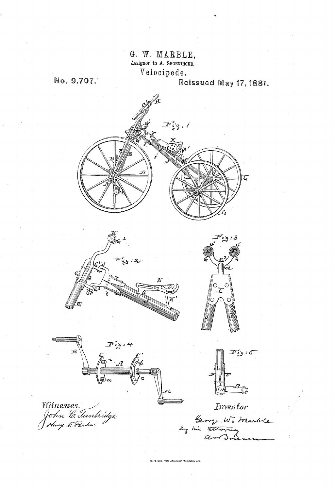G. W. MARBLE, Assignor to A. SHOENINGER. Velocipede.

7%

No. 9,707. **Reissued May 17, 1881.** 



N. PETERS, Photo-Lithographer, Washington, D. C.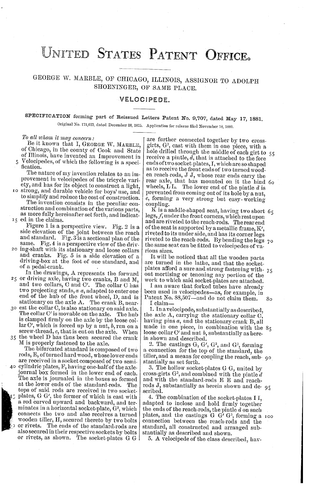## UNITED STATES PATENT OFFICE.

GEORGE W. MARBLE, OF CHICAGO, ILLINOIS, ASSIGNOR TO ADOLPH SHOENINGER, OF SAME PLACE.

## VELOCIPEDE.

## SPECIFICATION forming part of Reissued Letters Patent No. 9,707, dated May 17, 1881. Original No. 171,623, dated December 28, 1875. Application for reissue filed November 18, 1880,

To all whom it may concern:<br>Be it known that I, GEORGE W. MARBLE, of Chicago, in the county of Cook and State of Illinois, have invented an Improvement in

Velocipedes, of which the following is a specification.

The nature of my invention relates to an im provement in velocipedes of the tricycle variety, and has for its object to construct a light,

O ety, and has for its object to construct a light, strong, and durable vehicle for boys' use, and to simplify and reduce the cost of construction. The invention consists in the peculiar con struction and combination of the various parts, as more fully hereinafter set forth, and indicating ed in the claims.

 $F$ igure 1 is a perspective view. Fig. 2 is a side elevation of the joint between the reach and standard. Fig. 3 is a sectional plan of the  $\vert$ 

same. Fig. 4 is a perspective view of the driv-<br>20 ing-shaft with its stationary and loose collars<br>and cranks. Fig. 5 is a side elevation of a driving-box at the foot of one standard, and of a pedal-crank.

25 or driving axle, having two cranks, B and M, and two collars, C and C. The collar C has In the drawings, A represents the forward two projecting studs,  $a$   $a$ , adapted to enter one end of the hub of the front wheel,  $D$ , and is stationary on the axle A. The crank B, near-

 $35$  the wheel D has thus been secured the crank  $\beta$  est the collar C, is also stationary on said axle. The collar C' is movable on the axle. The hub is clamped firmly on the axle by the loose col lar C', which is forced up by a nut,  $b$ , run on a screw-thread,  $c$ , that is cut on the axle. When

M is properly fastened to the axle. The bifurcated standard is composed of two

rods, E, of turned hard wood, whose lower ends  $40$  cylindric plates, F, having one-half of the axlejournal box formed in the lower end of each. The axle is journaled in the boxes so formed at the lower ends of the standard-rods. The tops of said rods are received in two socket plates, G. G', the former of which is cast with<br>a rod curved upward and backward, and terminates in a horizontal socket-plate, G<sup>2</sup>, which connects the two and also receives a turned wooden tiller, H, secured thereto by two bolts or rivets. The ends of the standard-rods are also secured in their respective sockets by bolts or rivets, as shown. The socket-plates G. G.

are further connected together by two cross girts,  $G<sup>3</sup>$ , cast with them in one piece, with a hole drilled through the middle of each girt to 55 receive a pintle,  $d$ , that is attached to the fore ends of two socket-plates, I, which are so shaped as to receive the front ends of two turned wood en reach-rods, JJ, whose rear ends carry the rear axle, that has mounted on it the hind 60 wheels, L.L. The lower end of the pintle  $d$  is prevented from coming out of its hole by a nut, e, forming a very strong but easy - working coupling.

K is a saddle-shaped seat, having two short  $65$ legs,  $f$ , under the front corners, which rest upon and are riveted to the reach-rods. The rear end of the seat is supported by a metallic frame,  $K'$ , of the seat is supported by a metallic frame, K', riveted to its under side, and has its corner legs riveted to the reach-rods. By bending the legs the same seat can be fitted to velocipedes of various sizes. o

It will be noticed that all the wooden parts<br>are turned in the lathe, and that the socketare turned in the lathe, and that the socket-<br>plates afford a sure and strong fastening with  $\frac{75}{100}$ out mortising or tenoning any portion of the

work to which said socket-plates are attached.<br>I am aware that forked tubes have already been used in velocipedes—as, for example, in<br>Patent No. 88,507—and do not claim them. 80 Patent No. 88,507-and do not claim them.

I claim—<br>1. In a velocipede, substantially as described, the axle A, carrying the stationary collar C, having pins  $a$ , and the stationary crank B, all made in one piece, in combination with the loose collar C' and nut b, substantially as here-<br>in shown and described.

2. The castings  $G, G', G^2$ , and  $G^3$ , forming a connection for the top of the standard, the a connection for the top of the standard, the tiller, and a means for coupling the reach, sub- 90 stantially as set forth.

3. The hollow socket-plates G G, united by cross-girts G<sup>3</sup>, and combined with the pintle d and with the standard-rods E E and reachrods J, substantially as herein shown and de- 95<br>scribed.

4. The combination of the socket-plates II, adapted to inclose and hold firmly together the ends of the reach-rods, the pintle d on such plates, and the castings G. G' G<sup>3</sup>, forming a connection between the reach-rods and the standard, all constructed and arranged sub stantially as described and shown. OO

5. A velocipede of the class described, hav